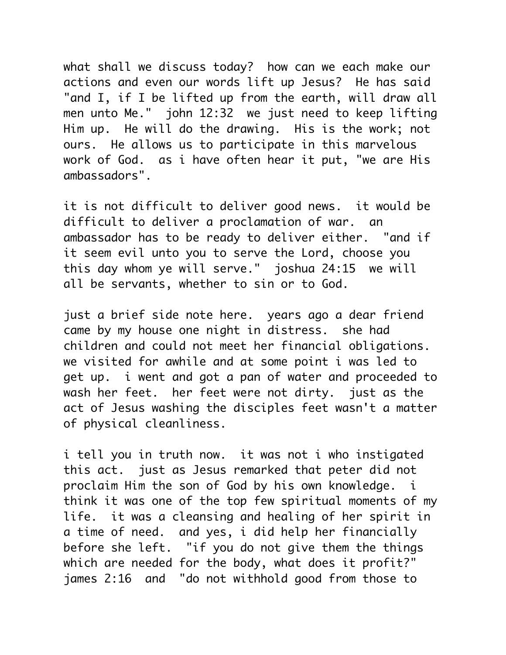what shall we discuss today? how can we each make our actions and even our words lift up Jesus? He has said "and I, if I be lifted up from the earth, will draw all men unto Me." john 12:32 we just need to keep lifting Him up. He will do the drawing. His is the work; not ours. He allows us to participate in this marvelous work of God. as i have often hear it put, "we are His ambassadors".

it is not difficult to deliver good news. it would be difficult to deliver a proclamation of war. an ambassador has to be ready to deliver either. "and if it seem evil unto you to serve the Lord, choose you this day whom ye will serve." joshua 24:15 we will all be servants, whether to sin or to God.

just a brief side note here. years ago a dear friend came by my house one night in distress. she had children and could not meet her financial obligations. we visited for awhile and at some point i was led to get up. i went and got a pan of water and proceeded to wash her feet. her feet were not dirty. just as the act of Jesus washing the disciples feet wasn't a matter of physical cleanliness.

i tell you in truth now. it was not i who instigated this act. just as Jesus remarked that peter did not proclaim Him the son of God by his own knowledge. i think it was one of the top few spiritual moments of my life. it was a cleansing and healing of her spirit in a time of need. and yes, i did help her financially before she left. "if you do not give them the things which are needed for the body, what does it profit?" james 2:16 and "do not withhold good from those to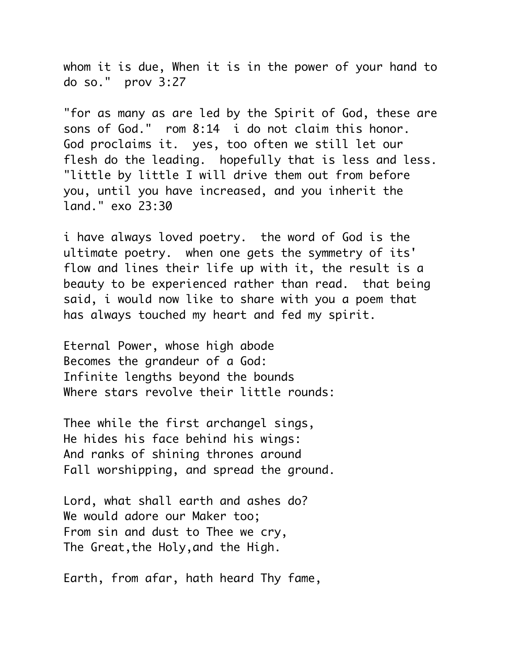whom it is due, When it is in the power of your hand to do so." prov 3:27

"for as many as are led by the Spirit of God, these are sons of God." rom 8:14 i do not claim this honor. God proclaims it. yes, too often we still let our flesh do the leading. hopefully that is less and less. "little by little I will drive them out from before you, until you have increased, and you inherit the land." exo 23:30

i have always loved poetry. the word of God is the ultimate poetry. when one gets the symmetry of its' flow and lines their life up with it, the result is a beauty to be experienced rather than read. that being said, i would now like to share with you a poem that has always touched my heart and fed my spirit.

Eternal Power, whose high abode Becomes the grandeur of a God: Infinite lengths beyond the bounds Where stars revolve their little rounds:

Thee while the first archangel sings, He hides his face behind his wings: And ranks of shining thrones around Fall worshipping, and spread the ground.

Lord, what shall earth and ashes do? We would adore our Maker too; From sin and dust to Thee we cry, The Great,the Holy,and the High.

Earth, from afar, hath heard Thy fame,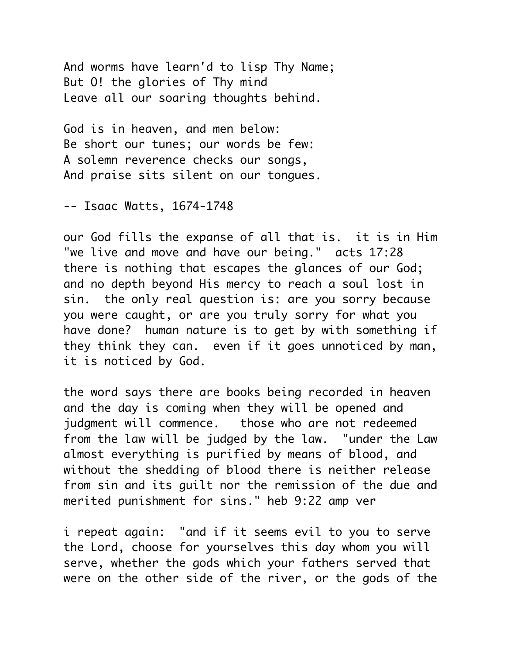And worms have learn'd to lisp Thy Name; But O! the glories of Thy mind Leave all our soaring thoughts behind.

God is in heaven, and men below: Be short our tunes; our words be few: A solemn reverence checks our songs, And praise sits silent on our tongues.

-- Isaac Watts, 1674-1748

our God fills the expanse of all that is. it is in Him "we live and move and have our being." acts 17:28 there is nothing that escapes the glances of our God; and no depth beyond His mercy to reach a soul lost in sin. the only real question is: are you sorry because you were caught, or are you truly sorry for what you have done? human nature is to get by with something if they think they can. even if it goes unnoticed by man, it is noticed by God.

the word says there are books being recorded in heaven and the day is coming when they will be opened and judgment will commence. those who are not redeemed from the law will be judged by the law. "under the Law almost everything is purified by means of blood, and without the shedding of blood there is neither release from sin and its guilt nor the remission of the due and merited punishment for sins." heb 9:22 amp ver

i repeat again: "and if it seems evil to you to serve the Lord, choose for yourselves this day whom you will serve, whether the gods which your fathers served that were on the other side of the river, or the gods of the